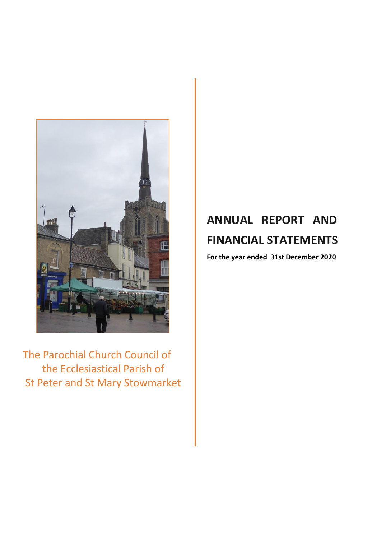

The Parochial Church Council of the Ecclesiastical Parish of St Peter and St Mary Stowmarket

# **ANNUAL REPORT AND FINANCIAL STATEMENTS**

**For the year ended 31st December 2020**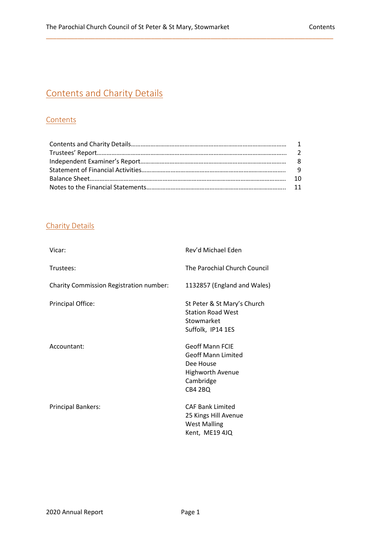## Contents and Charity Details

## **Contents**

\_\_\_\_\_\_\_\_\_\_\_\_\_\_\_\_\_\_\_\_\_\_\_\_\_\_\_\_\_\_\_\_\_\_\_\_\_\_\_\_\_\_\_\_\_\_\_\_\_\_\_\_\_\_\_\_\_\_\_\_\_\_\_\_\_\_\_\_\_\_\_\_\_\_\_\_\_\_\_\_\_\_

## Charity Details

| Vicar:                                         | Rev'd Michael Eden                                                                                                  |
|------------------------------------------------|---------------------------------------------------------------------------------------------------------------------|
| Trustees:                                      | The Parochial Church Council                                                                                        |
| <b>Charity Commission Registration number:</b> | 1132857 (England and Wales)                                                                                         |
| <b>Principal Office:</b>                       | St Peter & St Mary's Church<br><b>Station Road West</b><br>Stowmarket<br>Suffolk, IP14 1ES                          |
| Accountant:                                    | <b>Geoff Mann FCIE</b><br><b>Geoff Mann Limited</b><br>Dee House<br><b>Highworth Avenue</b><br>Cambridge<br>CB4 2BQ |
| <b>Principal Bankers:</b>                      | <b>CAF Bank Limited</b><br>25 Kings Hill Avenue<br><b>West Malling</b><br>Kent, ME19 4JQ                            |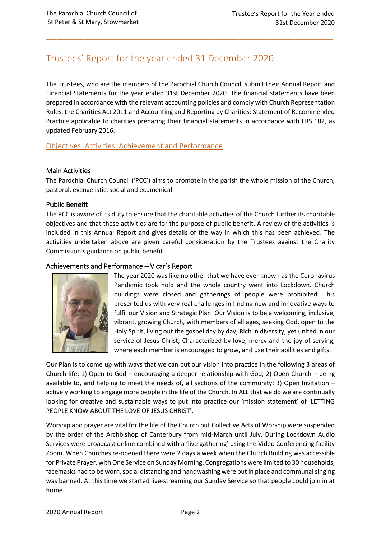## Trustees' Report for the year ended 31 December 2020

The Trustees, who are the members of the Parochial Church Council, submit their Annual Report and Financial Statements for the year ended 31st December 2020. The financial statements have been prepared in accordance with the relevant accounting policies and comply with Church Representation Rules, the Charities Act 2011 and Accounting and Reporting by Charities: Statement of Recommended Practice applicable to charities preparing their financial statements in accordance with FRS 102, as updated February 2016.

\_\_\_\_\_\_\_\_\_\_\_\_\_\_\_\_\_\_\_\_\_\_\_\_\_\_\_\_\_\_\_\_\_\_\_\_\_\_\_\_\_\_\_\_\_\_\_\_\_\_\_\_\_\_\_\_\_\_\_\_\_\_\_\_\_\_\_\_\_\_\_\_\_\_\_\_\_\_\_\_\_\_

Objectives, Activities, Achievement and Performance

## Main Activities

The Parochial Church Council ('PCC') aims to promote in the parish the whole mission of the Church, pastoral, evangelistic, social and ecumenical.

## Public Benefit

The PCC is aware of its duty to ensure that the charitable activities of the Church further its charitable objectives and that these activities are for the purpose of public benefit. A review of the activities is included in this Annual Report and gives details of the way in which this has been achieved. The activities undertaken above are given careful consideration by the Trustees against the Charity Commission's guidance on public benefit.

## Achievements and Performance – Vicar's Report



The year 2020 was like no other that we have ever known as the Coronavirus Pandemic took hold and the whole country went into Lockdown. Church buildings were closed and gatherings of people were prohibited. This presented us with very real challenges in finding new and innovative ways to fulfil our Vision and Strategic Plan. Our Vision is to be a welcoming, inclusive, vibrant, growing Church, with members of all ages, seeking God, open to the Holy Spirit, living out the gospel day by day; Rich in diversity, yet united in our service of Jesus Christ; Characterized by love, mercy and the joy of serving, where each member is encouraged to grow, and use their abilities and gifts.

Our Plan is to come up with ways that we can put our vision into practice in the following 3 areas of Church life: 1) Open to God – encouraging a deeper relationship with God; 2) Open Church – being available to, and helping to meet the needs of, all sections of the community; 3) Open Invitation – actively working to engage more people in the life of the Church. In ALL that we do we are continually looking for creative and sustainable ways to put into practice our 'mission statement' of 'LETTING PEOPLE KNOW ABOUT THE LOVE OF JESUS CHRIST'.

Worship and prayer are vital for the life of the Church but Collective Acts of Worship were suspended by the order of the Archbishop of Canterbury from mid-March until July. During Lockdown Audio Services were broadcast online combined with a 'live gathering' using the Video Conferencing facility Zoom. When Churches re-opened there were 2 days a week when the Church Building was accessible for Private Prayer, with One Service on Sunday Morning. Congregations were limited to 30 households, facemasks had to be worn, social distancing and handwashing were put in place and communal singing was banned. At this time we started live-streaming our Sunday Service so that people could join in at home.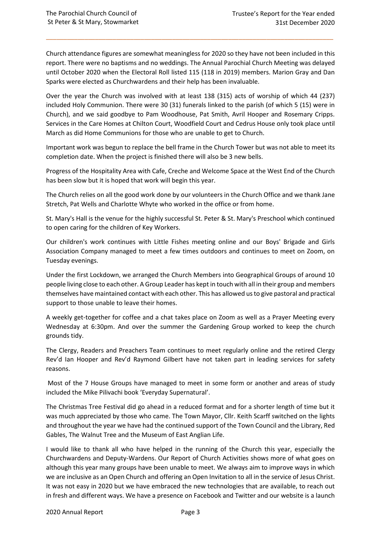Church attendance figures are somewhat meaningless for 2020 so they have not been included in this report. There were no baptisms and no weddings. The Annual Parochial Church Meeting was delayed until October 2020 when the Electoral Roll listed 115 (118 in 2019) members. Marion Gray and Dan Sparks were elected as Churchwardens and their help has been invaluable.

\_\_\_\_\_\_\_\_\_\_\_\_\_\_\_\_\_\_\_\_\_\_\_\_\_\_\_\_\_\_\_\_\_\_\_\_\_\_\_\_\_\_\_\_\_\_\_\_\_\_\_\_\_\_\_\_\_\_\_\_\_\_\_\_\_\_\_\_\_\_\_\_\_\_\_\_\_\_\_\_\_\_

Over the year the Church was involved with at least 138 (315) acts of worship of which 44 (237) included Holy Communion. There were 30 (31) funerals linked to the parish (of which 5 (15) were in Church), and we said goodbye to Pam Woodhouse, Pat Smith, Avril Hooper and Rosemary Cripps. Services in the Care Homes at Chilton Court, Woodfield Court and Cedrus House only took place until March as did Home Communions for those who are unable to get to Church.

Important work was begun to replace the bell frame in the Church Tower but was not able to meet its completion date. When the project is finished there will also be 3 new bells.

Progress of the Hospitality Area with Cafe, Creche and Welcome Space at the West End of the Church has been slow but it is hoped that work will begin this year.

The Church relies on all the good work done by our volunteers in the Church Office and we thank Jane Stretch, Pat Wells and Charlotte Whyte who worked in the office or from home.

St. Mary's Hall is the venue for the highly successful St. Peter & St. Mary's Preschool which continued to open caring for the children of Key Workers.

Our children's work continues with Little Fishes meeting online and our Boys' Brigade and Girls Association Company managed to meet a few times outdoors and continues to meet on Zoom, on Tuesday evenings.

Under the first Lockdown, we arranged the Church Members into Geographical Groups of around 10 people living close to each other. A Group Leader has kept in touch with all in their group and members themselves have maintained contact with each other. This has allowed us to give pastoral and practical support to those unable to leave their homes.

A weekly get-together for coffee and a chat takes place on Zoom as well as a Prayer Meeting every Wednesday at 6:30pm. And over the summer the Gardening Group worked to keep the church grounds tidy.

The Clergy, Readers and Preachers Team continues to meet regularly online and the retired Clergy Rev'd Ian Hooper and Rev'd Raymond Gilbert have not taken part in leading services for safety reasons.

Most of the 7 House Groups have managed to meet in some form or another and areas of study included the Mike Pilivachi book 'Everyday Supernatural'.

The Christmas Tree Festival did go ahead in a reduced format and for a shorter length of time but it was much appreciated by those who came. The Town Mayor, Cllr. Keith Scarff switched on the lights and throughout the year we have had the continued support of the Town Council and the Library, Red Gables, The Walnut Tree and the Museum of East Anglian Life.

I would like to thank all who have helped in the running of the Church this year, especially the Churchwardens and Deputy-Wardens. Our Report of Church Activities shows more of what goes on although this year many groups have been unable to meet. We always aim to improve ways in which we are inclusive as an Open Church and offering an Open Invitation to all in the service of Jesus Christ. It was not easy in 2020 but we have embraced the new technologies that are available, to reach out in fresh and different ways. We have a presence on Facebook and Twitter and our website is a launch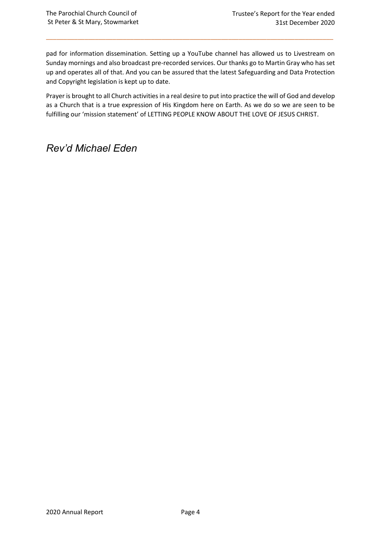pad for information dissemination. Setting up a YouTube channel has allowed us to Livestream on Sunday mornings and also broadcast pre-recorded services. Our thanks go to Martin Gray who has set up and operates all of that. And you can be assured that the latest Safeguarding and Data Protection and Copyright legislation is kept up to date.

\_\_\_\_\_\_\_\_\_\_\_\_\_\_\_\_\_\_\_\_\_\_\_\_\_\_\_\_\_\_\_\_\_\_\_\_\_\_\_\_\_\_\_\_\_\_\_\_\_\_\_\_\_\_\_\_\_\_\_\_\_\_\_\_\_\_\_\_\_\_\_\_\_\_\_\_\_\_\_\_\_\_

Prayer is brought to all Church activities in a real desire to put into practice the will of God and develop as a Church that is a true expression of His Kingdom here on Earth. As we do so we are seen to be fulfilling our 'mission statement' of LETTING PEOPLE KNOW ABOUT THE LOVE OF JESUS CHRIST.

## *Rev'd Michael Eden*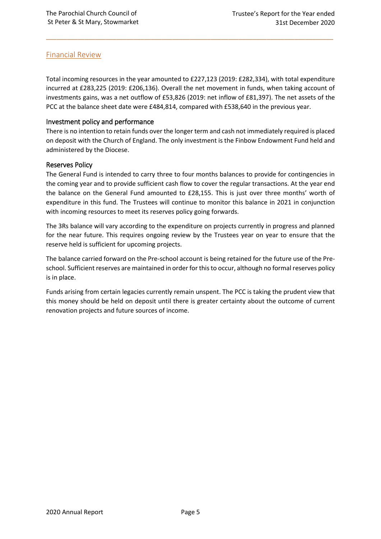## Financial Review

Total incoming resources in the year amounted to £227,123 (2019: £282,334), with total expenditure incurred at £283,225 (2019: £206,136). Overall the net movement in funds, when taking account of investments gains, was a net outflow of £53,826 (2019: net inflow of £81,397). The net assets of the PCC at the balance sheet date were £484,814, compared with £538,640 in the previous year.

\_\_\_\_\_\_\_\_\_\_\_\_\_\_\_\_\_\_\_\_\_\_\_\_\_\_\_\_\_\_\_\_\_\_\_\_\_\_\_\_\_\_\_\_\_\_\_\_\_\_\_\_\_\_\_\_\_\_\_\_\_\_\_\_\_\_\_\_\_\_\_\_\_\_\_\_\_\_\_\_\_\_

## Investment policy and performance

There is no intention to retain funds over the longer term and cash not immediately required is placed on deposit with the Church of England. The only investment is the Finbow Endowment Fund held and administered by the Diocese.

## Reserves Policy

The General Fund is intended to carry three to four months balances to provide for contingencies in the coming year and to provide sufficient cash flow to cover the regular transactions. At the year end the balance on the General Fund amounted to £28,155. This is just over three months' worth of expenditure in this fund. The Trustees will continue to monitor this balance in 2021 in conjunction with incoming resources to meet its reserves policy going forwards.

The 3Rs balance will vary according to the expenditure on projects currently in progress and planned for the near future. This requires ongoing review by the Trustees year on year to ensure that the reserve held is sufficient for upcoming projects.

The balance carried forward on the Pre-school account is being retained for the future use of the Preschool. Sufficient reserves are maintained in order for this to occur, although no formal reserves policy is in place.

Funds arising from certain legacies currently remain unspent. The PCC is taking the prudent view that this money should be held on deposit until there is greater certainty about the outcome of current renovation projects and future sources of income.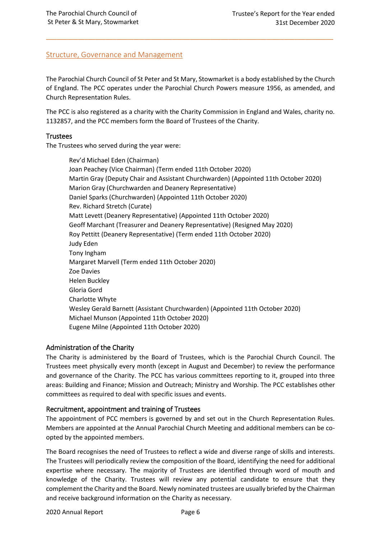## Structure, Governance and Management

The Parochial Church Council of St Peter and St Mary, Stowmarket is a body established by the Church of England. The PCC operates under the Parochial Church Powers measure 1956, as amended, and Church Representation Rules.

\_\_\_\_\_\_\_\_\_\_\_\_\_\_\_\_\_\_\_\_\_\_\_\_\_\_\_\_\_\_\_\_\_\_\_\_\_\_\_\_\_\_\_\_\_\_\_\_\_\_\_\_\_\_\_\_\_\_\_\_\_\_\_\_\_\_\_\_\_\_\_\_\_\_\_\_\_\_\_\_\_\_

The PCC is also registered as a charity with the Charity Commission in England and Wales, charity no. 1132857, and the PCC members form the Board of Trustees of the Charity.

### **Trustees**

The Trustees who served during the year were:

Rev'd Michael Eden (Chairman) Joan Peachey (Vice Chairman) (Term ended 11th October 2020) Martin Gray (Deputy Chair and Assistant Churchwarden) (Appointed 11th October 2020) Marion Gray (Churchwarden and Deanery Representative) Daniel Sparks (Churchwarden) (Appointed 11th October 2020) Rev. Richard Stretch (Curate) Matt Levett (Deanery Representative) (Appointed 11th October 2020) Geoff Marchant (Treasurer and Deanery Representative) (Resigned May 2020) Roy Pettitt (Deanery Representative) (Term ended 11th October 2020) Judy Eden Tony Ingham Margaret Marvell (Term ended 11th October 2020) Zoe Davies Helen Buckley Gloria Gord Charlotte Whyte Wesley Gerald Barnett (Assistant Churchwarden) (Appointed 11th October 2020) Michael Munson (Appointed 11th October 2020) Eugene Milne (Appointed 11th October 2020)

## Administration of the Charity

The Charity is administered by the Board of Trustees, which is the Parochial Church Council. The Trustees meet physically every month (except in August and December) to review the performance and governance of the Charity. The PCC has various committees reporting to it, grouped into three areas: Building and Finance; Mission and Outreach; Ministry and Worship. The PCC establishes other committees as required to deal with specific issues and events.

## Recruitment, appointment and training of Trustees

The appointment of PCC members is governed by and set out in the Church Representation Rules. Members are appointed at the Annual Parochial Church Meeting and additional members can be coopted by the appointed members.

The Board recognises the need of Trustees to reflect a wide and diverse range of skills and interests. The Trustees will periodically review the composition of the Board, identifying the need for additional expertise where necessary. The majority of Trustees are identified through word of mouth and knowledge of the Charity. Trustees will review any potential candidate to ensure that they complement the Charity and the Board. Newly nominated trustees are usually briefed by the Chairman and receive background information on the Charity as necessary.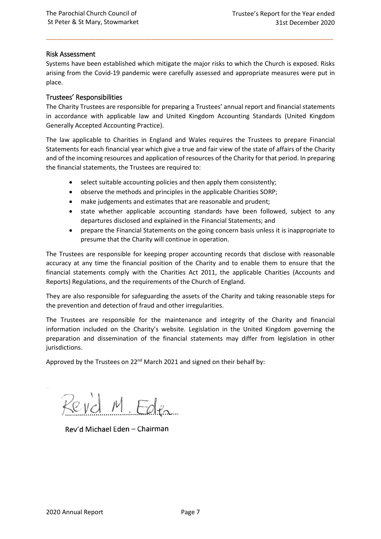### Risk Assessment

Systems have been established which mitigate the major risks to which the Church is exposed. Risks arising from the Covid-19 pandemic were carefully assessed and appropriate measures were put in place.

\_\_\_\_\_\_\_\_\_\_\_\_\_\_\_\_\_\_\_\_\_\_\_\_\_\_\_\_\_\_\_\_\_\_\_\_\_\_\_\_\_\_\_\_\_\_\_\_\_\_\_\_\_\_\_\_\_\_\_\_\_\_\_\_\_\_\_\_\_\_\_\_\_\_\_\_\_\_\_\_\_\_

### Trustees' Responsibilities

The Charity Trustees are responsible for preparing a Trustees' annual report and financial statements in accordance with applicable law and United Kingdom Accounting Standards (United Kingdom Generally Accepted Accounting Practice).

The law applicable to Charities in England and Wales requires the Trustees to prepare Financial Statements for each financial year which give a true and fair view of the state of affairs of the Charity and of the incoming resources and application of resources of the Charity for that period. In preparing the financial statements, the Trustees are required to:

- select suitable accounting policies and then apply them consistently;
- observe the methods and principles in the applicable Charities SORP;
- make judgements and estimates that are reasonable and prudent;
- state whether applicable accounting standards have been followed, subject to any departures disclosed and explained in the Financial Statements; and
- prepare the Financial Statements on the going concern basis unless it is inappropriate to presume that the Charity will continue in operation.

The Trustees are responsible for keeping proper accounting records that disclose with reasonable accuracy at any time the financial position of the Charity and to enable them to ensure that the financial statements comply with the Charities Act 2011, the applicable Charities (Accounts and Reports) Regulations, and the requirements of the Church of England.

They are also responsible for safeguarding the assets of the Charity and taking reasonable steps for the prevention and detection of fraud and other irregularities.

The Trustees are responsible for the maintenance and integrity of the Charity and financial information included on the Charity's website. Legislation in the United Kingdom governing the preparation and dissemination of the financial statements may differ from legislation in other jurisdictions.

Approved by the Trustees on 22<sup>nd</sup> March 2021 and signed on their behalf by:

Revid M. Eden

Rev'd Michael Eden - Chairman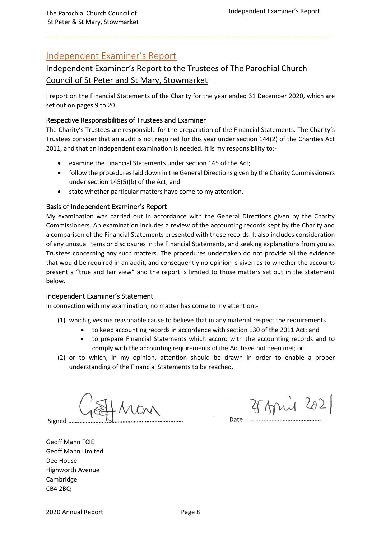## Independent Examiner's Report

## Independent Examiner's Report to the Trustees of The Parochial Church Council of St Peter and St Mary, Stowmarket

I report on the Financial Statements of the Charity for the year ended 31 December 2020, which are set out on pages 9 to 20.

\_\_\_\_\_\_\_\_\_\_\_\_\_\_\_\_\_\_\_\_\_\_\_\_\_\_\_\_\_\_\_\_\_\_\_\_\_\_\_\_\_\_\_\_\_\_\_\_\_\_\_\_\_\_\_\_\_\_\_\_\_\_\_\_\_\_\_\_\_\_\_\_\_\_\_\_\_\_\_\_\_\_

## Respective Responsibilities of Trustees and Examiner

The Charity's Trustees are responsible for the preparation of the Financial Statements. The Charity's Trustees consider that an audit is not required for this year under section 144(2) of the Charities Act 2011, and that an independent examination is needed. It is my responsibility to:-

- examine the Financial Statements under section 145 of the Act;
- follow the procedures laid down in the General Directions given by the Charity Commissioners under section 145(5)(b) of the Act; and
- **•** state whether particular matters have come to my attention.

## Basis of Independent Examiner's Report

My examination was carried out in accordance with the General Directions given by the Charity Commissioners. An examination includes a review of the accounting records kept by the Charity and a comparison of the Financial Statements presented with those records. It also includes consideration of any unusual items or disclosures in the Financial Statements, and seeking explanations from you as Trustees concerning any such matters. The procedures undertaken do not provide all the evidence that would be required in an audit, and consequently no opinion is given as to whether the accounts present a "true and fair view" and the report is limited to those matters set out in the statement below.

### Independent Examiner's Statement

In connection with my examination, no matter has come to my attention:-

- (1) which gives me reasonable cause to believe that in any material respect the requirements
	- to keep accounting records in accordance with section 130 of the 2011 Act; and
	- to prepare Financial Statements which accord with the accounting records and to comply with the accounting requirements of the Act have not been met; or
- (2) or to which, in my opinion, attention should be drawn in order to enable a proper understanding of the Financial Statements to be reached.

Signed ........

25 April 2021

Geoff Mann FCIE

Date ........

Geoff Mann Limited Dee House Highworth Avenue Cambridge CB4 2BQ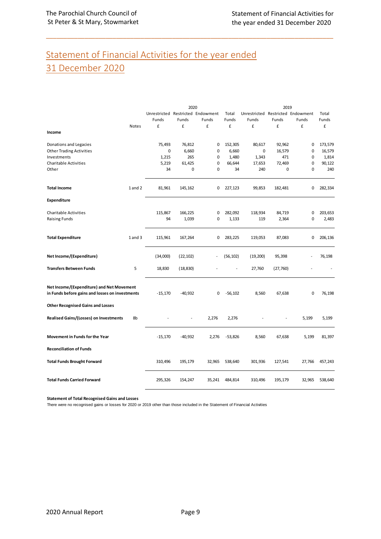## Statement of Financial Activities for the year ended 31 December 2020

\_\_\_\_\_\_\_\_\_\_\_\_\_\_\_\_\_\_\_\_\_\_\_\_\_\_\_\_\_\_\_\_\_\_\_\_\_\_\_\_\_\_\_\_\_\_\_\_\_\_\_\_\_\_\_\_\_\_\_\_\_\_\_\_\_\_\_\_\_\_\_\_\_\_\_\_\_\_\_\_\_\_

|                                                                                              |             |                                   | 2020      |           |           |                                   | 2019     |        |         |
|----------------------------------------------------------------------------------------------|-------------|-----------------------------------|-----------|-----------|-----------|-----------------------------------|----------|--------|---------|
|                                                                                              |             | Unrestricted Restricted Endowment |           |           | Total     | Unrestricted Restricted Endowment |          |        | Total   |
|                                                                                              |             | Funds                             | Funds     | Funds     | Funds     | Funds                             | Funds    | Funds  | Funds   |
|                                                                                              | Notes       | £                                 | £         | £         | £         | £                                 | £        | £      | £       |
| Income                                                                                       |             |                                   |           |           |           |                                   |          |        |         |
| Donations and Legacies                                                                       |             | 75,493                            | 76,812    | 0         | 152,305   | 80,617                            | 92,962   | 0      | 173,579 |
| <b>Other Trading Activities</b>                                                              |             | 0                                 | 6,660     | $\pmb{0}$ | 6,660     | 0                                 | 16,579   | 0      | 16,579  |
| Investments                                                                                  |             | 1,215                             | 265       | 0         | 1,480     | 1,343                             | 471      | 0      | 1,814   |
| <b>Charitable Activities</b>                                                                 |             | 5,219                             | 61,425    | $\pmb{0}$ | 66,644    | 17,653                            | 72,469   | 0      | 90,122  |
| Other                                                                                        |             | 34                                | 0         | $\pmb{0}$ | 34        | 240                               | 0        | 0      | 240     |
| <b>Total Income</b>                                                                          | 1 and 2     | 81,961                            | 145,162   | 0         | 227,123   | 99,853                            | 182,481  | 0      | 282,334 |
| <b>Expenditure</b>                                                                           |             |                                   |           |           |           |                                   |          |        |         |
| <b>Charitable Activities</b>                                                                 |             | 115,867                           | 166,225   | 0         | 282,092   | 118,934                           | 84,719   | 0      | 203,653 |
| <b>Raising Funds</b>                                                                         |             | 94                                | 1,039     | $\pmb{0}$ | 1,133     | 119                               | 2,364    | 0      | 2,483   |
|                                                                                              |             |                                   |           |           |           |                                   |          |        |         |
| <b>Total Expenditure</b>                                                                     | $1$ and $3$ | 115,961                           | 167,264   | 0         | 283,225   | 119,053                           | 87,083   | 0      | 206,136 |
| Net Income/(Expenditure)                                                                     |             | (34,000)                          | (22, 102) |           | (56, 102) | (19,200)                          | 95,398   |        | 76,198  |
| <b>Transfers Between Funds</b>                                                               | 5           | 18,830                            | (18, 830) |           |           | 27,760                            | (27,760) |        |         |
| Net Income/(Expenditure) and Net Movement<br>in Funds before gains and losses on investments |             | $-15,170$                         | $-40,932$ | 0         | $-56,102$ | 8,560                             | 67,638   | 0      | 76,198  |
| <b>Other Recognised Gains and Losses</b>                                                     |             |                                   |           |           |           |                                   |          |        |         |
| Realised Gains/(Losses) on Investments                                                       | 8b          |                                   | ä,        | 2,276     | 2,276     |                                   |          | 5,199  | 5,199   |
| Movement in Funds for the Year                                                               |             | $-15,170$                         | $-40,932$ | 2,276     | $-53,826$ | 8,560                             | 67,638   | 5,199  | 81,397  |
| <b>Reconciliation of Funds</b>                                                               |             |                                   |           |           |           |                                   |          |        |         |
| <b>Total Funds Brought Forward</b>                                                           |             | 310,496                           | 195,179   | 32,965    | 538,640   | 301,936                           | 127,541  | 27,766 | 457,243 |
| <b>Total Funds Carried Forward</b>                                                           |             | 295,326                           | 154,247   | 35,241    | 484,814   | 310,496                           | 195,179  | 32,965 | 538,640 |

**Statement of Total Recognised Gains and Losses**

There were no recognised gains or losses for 2020 or 2019 other than those included in the Statement of Financial Activities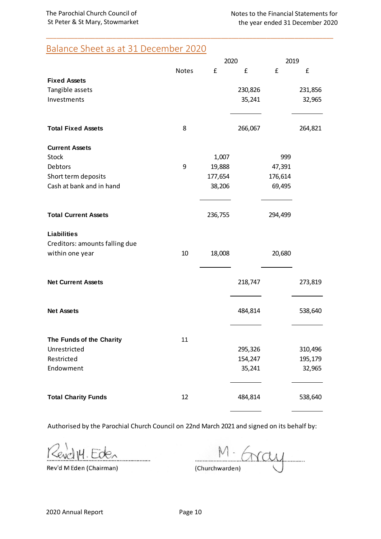## Balance Sheet as at 31 December 2020

|                                |              | 2020    | 2019    |         |         |  |
|--------------------------------|--------------|---------|---------|---------|---------|--|
|                                | <b>Notes</b> | £       | £       | £       | £       |  |
| <b>Fixed Assets</b>            |              |         |         |         |         |  |
| Tangible assets                |              |         | 230,826 |         | 231,856 |  |
| Investments                    |              |         | 35,241  |         | 32,965  |  |
| <b>Total Fixed Assets</b>      | 8            |         | 266,067 |         | 264,821 |  |
| <b>Current Assets</b>          |              |         |         |         |         |  |
| <b>Stock</b>                   |              | 1,007   |         | 999     |         |  |
| Debtors                        | 9            | 19,888  |         | 47,391  |         |  |
| Short term deposits            |              | 177,654 |         | 176,614 |         |  |
| Cash at bank and in hand       |              | 38,206  |         | 69,495  |         |  |
| <b>Total Current Assets</b>    |              | 236,755 |         | 294,499 |         |  |
| <b>Liabilities</b>             |              |         |         |         |         |  |
| Creditors: amounts falling due |              |         |         |         |         |  |
| within one year                | 10           | 18,008  |         | 20,680  |         |  |
| <b>Net Current Assets</b>      |              |         | 218,747 |         | 273,819 |  |
| <b>Net Assets</b>              |              |         | 484,814 |         | 538,640 |  |
|                                |              |         |         |         |         |  |
| The Funds of the Charity       | 11           |         |         |         |         |  |
| Unrestricted                   |              |         | 295,326 |         | 310,496 |  |
| Restricted                     |              |         | 154,247 |         | 195,179 |  |
| Endowment                      |              |         | 35,241  |         | 32,965  |  |
| <b>Total Charity Funds</b>     | 12           |         | 484,814 |         | 538,640 |  |

\_\_\_\_\_\_\_\_\_\_\_\_\_\_\_\_\_\_\_\_\_\_\_\_\_\_\_\_\_\_\_\_\_\_\_\_\_\_\_\_\_\_\_\_\_\_\_\_\_\_\_\_\_\_\_\_\_\_\_\_\_\_\_\_\_\_\_\_\_\_\_\_\_\_\_\_\_\_\_\_\_\_

Authorised by the Parochial Church Council on 22nd March 2021 and signed on its behalf by:

Kevelly. Eden . . . . . . . . . . . . . . . .

Rev'd M Eden (Chairman)

M. Gray (Churchwarden)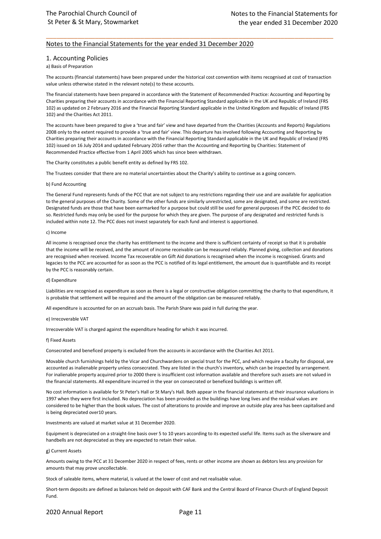#### Notes to the Financial Statements for the year ended 31 December 2020

#### 1. Accounting Policies

#### a) Basis of Preparation

The accounts (financial statements) have been prepared under the historical cost convention with items recognised at cost of transaction value unless otherwise stated in the relevant note(s) to these accounts.

\_\_\_\_\_\_\_\_\_\_\_\_\_\_\_\_\_\_\_\_\_\_\_\_\_\_\_\_\_\_\_\_\_\_\_\_\_\_\_\_\_\_\_\_\_\_\_\_\_\_\_\_\_\_\_\_\_\_\_\_\_\_\_\_\_\_\_\_\_\_\_\_\_\_\_\_\_\_\_\_\_\_

The financial statements have been prepared in accordance with the Statement of Recommended Practice: Accounting and Reporting by Charities preparing their accounts in accordance with the Financial Reporting Standard applicable in the UK and Republic of Ireland (FRS 102) as updated on 2 February 2016 and the Financial Reporting Standard applicable in the United Kingdom and Republic of Ireland (FRS 102) and the Charities Act 2011.

The accounts have been prepared to give a 'true and fair' view and have departed from the Charities (Accounts and Reports) Regulations 2008 only to the extent required to provide a 'true and fair' view. This departure has involved following Accounting and Reporting by Charities preparing their accounts in accordance with the Financial Reporting Standard applicable in the UK and Republic of Ireland (FRS 102) issued on 16 July 2014 and updated February 2016 rather than the Accounting and Reporting by Charities: Statement of Recommended Practice effective from 1 April 2005 which has since been withdrawn.

The Charity constitutes a public benefit entity as defined by FRS 102.

The Trustees consider that there are no material uncertainties about the Charity's ability to continue as a going concern.

#### b) Fund Accounting

The General Fund represents funds of the PCC that are not subject to any restrictions regarding their use and are available for application to the general purposes of the Charity. Some of the other funds are similarly unrestricted, some are designated, and some are restricted. Designated funds are those that have been earmarked for a purpose but could still be used for general purposes if the PCC decided to do so. Restricted funds may only be used for the purpose for which they are given. The purpose of any designated and restricted funds is included within note 12. The PCC does not invest separately for each fund and interest is apportioned.

#### c) Income

All income is recognised once the charity has entitlement to the income and there is sufficient certainty of receipt so that it is probable that the income will be received, and the amount of income receivable can be measured reliably. Planned giving, collection and donations are recognised when received. Income Tax recoverable on Gift Aid donations is recognised when the income is recognised. Grants and legacies to the PCC are accounted for as soon as the PCC is notified of its legal entitlement, the amount due is quantifiable and its receipt by the PCC is reasonably certain.

#### d) Expenditure

Liabilities are recognised as expenditure as soon as there is a legal or constructive obligation committing the charity to that expenditure, it is probable that settlement will be required and the amount of the obligation can be measured reliably.

All expenditure is accounted for on an accruals basis. The Parish Share was paid in full during the year.

#### e) Irrecoverable VAT

Irrecoverable VAT is charged against the expenditure heading for which it was incurred.

#### f) Fixed Assets

Consecrated and beneficed property is excluded from the accounts in accordance with the Charities Act 2011.

Movable church furnishings held by the Vicar and Churchwardens on special trust for the PCC, and which require a faculty for disposal, are accounted as inalienable property unless consecrated. They are listed in the church's inventory, which can be inspected by arrangement. For inalienable property acquired prior to 2000 there is insufficient cost information available and therefore such assets are not valued in the financial statements. All expenditure incurred in the year on consecrated or beneficed buildings is written off.

No cost information is available for St Peter's Hall or St Mary's Hall. Both appear in the financial statements at their insurance valuations in 1997 when they were first included. No depreciation has been provided as the buildings have long lives and the residual values are considered to be higher than the book values. The cost of alterations to provide and improve an outside play area has been capitalised and is being depreciated over10 years.

Investments are valued at market value at 31 December 2020.

Equipment is depreciated on a straight-line basis over 5 to 10 years according to its expected useful life. Items such as the silverware and handbells are not depreciated as they are expected to retain their value.

#### g) Current Assets

Amounts owing to the PCC at 31 December 2020 in respect of fees, rents or other income are shown as debtors less any provision for amounts that may prove uncollectable.

Stock of saleable items, where material, is valued at the lower of cost and net realisable value.

Short-term deposits are defined as balances held on deposit with CAF Bank and the Central Board of Finance Church of England Deposit Fund.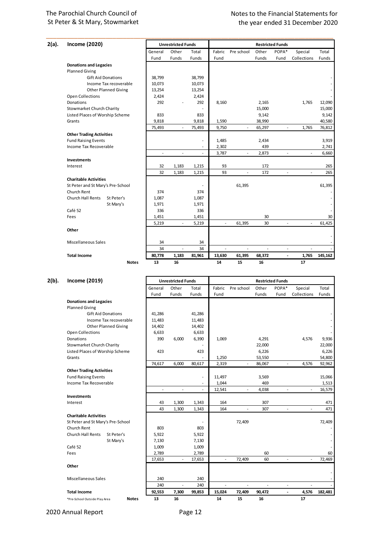## Notes to the Financial Statements for the year ended 31 December 2017 the year ended 31 December 2017 the year ended 31 December 2020

| 2(a). | <b>Income (2020)</b>                   |         | <b>Unrestricted Funds</b> |                          | <b>Restricted Funds</b> |                          |        |                          |                          |         |
|-------|----------------------------------------|---------|---------------------------|--------------------------|-------------------------|--------------------------|--------|--------------------------|--------------------------|---------|
|       |                                        | General | Other                     | Total                    | Fabric                  | Pre school               | Other  | POPA*                    | Special                  | Total   |
|       |                                        | Fund    | Funds                     | Funds                    | Fund                    |                          | Funds  | Fund                     | Collections              | Funds   |
|       | <b>Donations and Legacies</b>          |         |                           |                          |                         |                          |        |                          |                          |         |
|       | <b>Planned Giving</b>                  |         |                           |                          |                         |                          |        |                          |                          |         |
|       | <b>Gift Aid Donations</b>              | 38,799  |                           | 38,799                   |                         |                          |        |                          |                          |         |
|       | Income Tax recoverable                 | 10,073  |                           | 10,073                   |                         |                          |        |                          |                          |         |
|       | <b>Other Planned Giving</b>            | 13,254  |                           | 13,254                   |                         |                          |        |                          |                          |         |
|       | <b>Open Collections</b>                | 2,424   |                           | 2,424                    |                         |                          |        |                          |                          |         |
|       | Donations                              | 292     |                           | 292                      | 8,160                   |                          | 2,165  |                          | 1,765                    | 12,090  |
|       | <b>Stowmarket Church Charity</b>       |         |                           |                          |                         |                          | 15,000 |                          |                          | 15,000  |
|       | Listed Places of Worship Scheme        | 833     |                           | 833                      |                         |                          | 9,142  |                          |                          | 9,142   |
|       | Grants                                 | 9,818   |                           | 9,818                    | 1,590                   |                          | 38,990 |                          |                          | 40,580  |
|       |                                        | 75,493  | $\sim$                    | 75,493                   | 9,750                   | $\overline{\phantom{a}}$ | 65,297 | ÷.                       | 1,765                    | 76,812  |
|       | <b>Other Trading Activities</b>        |         |                           |                          |                         |                          |        |                          |                          |         |
|       | <b>Fund Raising Events</b>             |         |                           | $\overline{\phantom{a}}$ | 1,485                   |                          | 2,434  |                          |                          | 3,919   |
|       | Income Tax Recoverable                 |         |                           | $\overline{\phantom{a}}$ | 2,302                   |                          | 439    |                          |                          | 2,741   |
|       |                                        | J.      | ÷                         | ÷.                       | 3,787                   | ٠                        | 2,873  |                          | ÷.                       | 6,660   |
|       | <b>Investments</b>                     |         |                           |                          |                         |                          |        |                          |                          |         |
|       | Interest                               | 32      | 1,183                     | 1,215                    | 93                      |                          | 172    |                          |                          | 265     |
|       |                                        | 32      | 1,183                     | 1,215                    | 93                      | $\overline{\phantom{a}}$ | 172    | $\overline{\phantom{a}}$ | $\overline{\phantom{a}}$ | 265     |
|       | <b>Charitable Activities</b>           |         |                           |                          |                         |                          |        |                          |                          |         |
|       | St Peter and St Mary's Pre-School      |         |                           |                          |                         | 61,395                   |        |                          |                          | 61,395  |
|       | Church Rent                            | 374     |                           | 374                      |                         |                          |        |                          |                          |         |
|       | <b>Church Hall Rents</b><br>St Peter's | 1,087   |                           | 1,087                    |                         |                          |        |                          |                          |         |
|       | St Mary's                              | 1,971   |                           | 1,971                    |                         |                          |        |                          |                          |         |
|       | Café 52                                | 336     |                           | 336                      |                         |                          |        |                          |                          |         |
|       | Fees                                   | 1,451   |                           | 1,451                    |                         |                          | 30     |                          |                          | 30      |
|       |                                        | 5,219   | $\overline{\phantom{a}}$  | 5,219                    | $\sim$                  | 61,395                   | 30     | $\overline{\phantom{a}}$ | $\overline{\phantom{a}}$ | 61,425  |
|       | Other                                  |         |                           |                          |                         |                          |        |                          |                          |         |
|       | Miscellaneous Sales                    | 34      |                           | 34                       |                         |                          |        |                          |                          |         |
|       |                                        | 34      | ÷,                        | 34                       | ÷.                      | $\overline{\phantom{a}}$ | ÷.     | ÷.                       | $\sim$                   |         |
|       | <b>Total Income</b>                    | 80,778  | 1,183                     | 81,961                   | 13,630                  | 61,395                   | 68,372 | $\blacksquare$           | 1,765                    | 145,162 |
|       | <b>Notes</b>                           | 13      | 16                        |                          | 14                      | 15                       | 16     |                          | 17                       |         |

\_\_\_\_\_\_\_\_\_\_\_\_\_\_\_\_\_\_\_\_\_\_\_\_\_\_\_\_\_\_\_\_\_\_\_\_\_\_\_\_\_\_\_\_\_\_\_\_\_\_\_\_\_\_\_\_\_\_\_\_\_\_\_\_\_\_\_\_\_\_\_\_\_\_\_\_\_\_\_\_\_\_

### **2(b). Income (2019) Unrestricted Funds Restricted Funds**

|                                   |                             | General | Other                    | Total  | Fabric                   | Pre school               | Other  | POPA*                    | Special     | Total   |
|-----------------------------------|-----------------------------|---------|--------------------------|--------|--------------------------|--------------------------|--------|--------------------------|-------------|---------|
|                                   |                             | Fund    | Funds                    | Funds  | Fund                     |                          | Funds  | Fund                     | Collections | Funds   |
| <b>Donations and Legacies</b>     |                             |         |                          |        |                          |                          |        |                          |             |         |
| <b>Planned Giving</b>             |                             |         |                          |        |                          |                          |        |                          |             |         |
| <b>Gift Aid Donations</b>         |                             | 41,286  |                          | 41,286 |                          |                          |        |                          |             |         |
|                                   | Income Tax recoverable      | 11,483  |                          | 11,483 |                          |                          |        |                          |             |         |
|                                   | <b>Other Planned Giving</b> | 14,402  |                          | 14,402 |                          |                          |        |                          |             |         |
| <b>Open Collections</b>           |                             | 6,633   |                          | 6,633  |                          |                          |        |                          |             |         |
| Donations                         |                             | 390     | 6,000                    | 6,390  | 1,069                    |                          | 4,291  |                          | 4,576       | 9,936   |
| <b>Stowmarket Church Charity</b>  |                             |         |                          |        |                          |                          | 22,000 |                          |             | 22,000  |
| Listed Places of Worship Scheme   |                             | 423     |                          | 423    |                          |                          | 6,226  |                          |             | 6,226   |
| Grants                            |                             |         |                          |        | 1,250                    |                          | 53,550 |                          |             | 54,800  |
|                                   |                             | 74,617  | 6,000                    | 80,617 | 2,319                    | $\frac{1}{2}$            | 86,067 | $\overline{\phantom{a}}$ | 4,576       | 92,962  |
| <b>Other Trading Activities</b>   |                             |         |                          |        |                          |                          |        |                          |             |         |
| <b>Fund Raising Events</b>        |                             |         |                          | ٠      | 11,497                   |                          | 3,569  |                          |             | 15,066  |
| Income Tax Recoverable            |                             |         |                          |        | 1,044                    |                          | 469    |                          |             | 1,513   |
|                                   |                             | ä,      | L.                       |        | 12,541                   | $\overline{\phantom{a}}$ | 4,038  | L.                       | $\sim$      | 16,579  |
| <b>Investments</b>                |                             |         |                          |        |                          |                          |        |                          |             |         |
| Interest                          |                             | 43      | 1,300                    | 1,343  | 164                      |                          | 307    |                          |             | 471     |
|                                   |                             | 43      | 1,300                    | 1,343  | 164                      | ä,                       | 307    | ä,                       | ÷           | 471     |
| <b>Charitable Activities</b>      |                             |         |                          |        |                          |                          |        |                          |             |         |
| St Peter and St Mary's Pre-School |                             |         |                          |        |                          | 72,409                   |        |                          |             | 72,409  |
| Church Rent                       |                             | 803     |                          | 803    |                          |                          |        |                          |             |         |
| <b>Church Hall Rents</b>          | St Peter's                  | 5,922   |                          | 5,922  |                          |                          |        |                          |             |         |
|                                   | St Mary's                   | 7,130   |                          | 7,130  |                          |                          |        |                          |             |         |
| Café 52                           |                             | 1,009   |                          | 1,009  |                          |                          |        |                          |             |         |
| Fees                              |                             | 2,789   |                          | 2,789  |                          |                          | 60     |                          |             | 60      |
|                                   |                             | 17,653  | $\overline{\phantom{a}}$ | 17,653 | $\overline{\phantom{a}}$ | 72,409                   | 60     | ä,                       | ÷.          | 72,469  |
| Other                             |                             |         |                          |        |                          |                          |        |                          |             |         |
|                                   |                             |         |                          |        |                          |                          |        |                          |             |         |
| <b>Miscellaneous Sales</b>        |                             | 240     |                          | 240    |                          |                          |        |                          |             |         |
|                                   |                             | 240     |                          | 240    |                          | $\overline{\phantom{a}}$ |        | $\overline{\phantom{a}}$ | ÷,          |         |
| <b>Total Income</b>               |                             | 92,553  | 7,300                    | 99,853 | 15,024                   | 72,409                   | 90,472 |                          | 4,576       | 182,481 |
| *Pre-School Outside Play Area     | <b>Notes</b>                | 13      | 16                       |        | 14                       | 15                       | 16     |                          | 17          |         |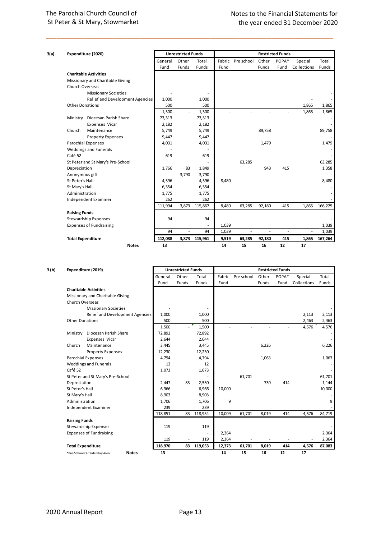| 3(a). |                                | Expenditure (2020)                |         | <b>Unrestricted Funds</b> |               |        |              |                          | <b>Restricted Funds</b>  |                          |         |
|-------|--------------------------------|-----------------------------------|---------|---------------------------|---------------|--------|--------------|--------------------------|--------------------------|--------------------------|---------|
|       |                                |                                   | General | Other                     | Total         | Fabric | Pre school   | Other                    | POPA*                    | Special                  | Total   |
|       |                                |                                   | Fund    | Funds                     | Funds         | Fund   |              | Funds                    | Fund                     | Collections              | Funds   |
|       |                                | <b>Charitable Activities</b>      |         |                           |               |        |              |                          |                          |                          |         |
|       |                                | Missionary and Charitable Giving  |         |                           |               |        |              |                          |                          |                          |         |
|       | Church Overseas                |                                   |         |                           |               |        |              |                          |                          |                          |         |
|       |                                | <b>Missionary Societies</b>       |         |                           |               |        |              |                          |                          |                          |         |
|       |                                | Relief and Development Agencies   | 1,000   |                           | 1,000         |        |              |                          |                          |                          |         |
|       | <b>Other Donations</b>         |                                   | 500     |                           | 500           |        |              |                          |                          | 1,865                    | 1,865   |
|       |                                |                                   | 1,500   | $\sim$                    | 1,500         | ÷      |              |                          |                          | 1,865                    | 1,865   |
|       | Ministry                       | Diocesan Parish Share             | 73,513  |                           | 73,513        |        |              |                          |                          |                          |         |
|       |                                | Expenses Vicar                    | 2,182   |                           | 2,182         |        |              |                          |                          |                          |         |
|       | Church                         | Maintenance                       | 5,749   |                           | 5,749         |        |              | 89,758                   |                          |                          | 89,758  |
|       |                                | <b>Property Expenses</b>          | 9,447   |                           | 9,447         |        |              |                          |                          |                          |         |
|       |                                | <b>Parochial Expenses</b>         | 4,031   |                           | 4,031         |        |              | 1,479                    |                          |                          | 1,479   |
|       |                                | <b>Weddings and Funerals</b>      |         |                           |               |        |              |                          |                          |                          |         |
|       | Café 52                        |                                   | 619     |                           | 619           |        |              |                          |                          |                          |         |
|       |                                | St Peter and St Mary's Pre-School |         |                           |               |        | 63,285       |                          |                          |                          | 63,285  |
|       | Depreciation                   |                                   | 1,766   | 83                        | 1,849         |        |              | 943                      | 415                      |                          | 1,358   |
|       | Anonymous gift                 |                                   |         | 3,790                     | 3,790         |        |              |                          |                          |                          |         |
|       | St Peter's Hall                |                                   | 4,596   |                           | 4,596         | 8,480  |              |                          |                          |                          | 8,480   |
|       | St Mary's Hall                 |                                   | 6,554   |                           | 6,554         |        |              |                          |                          |                          |         |
|       | Administration                 |                                   | 1,775   |                           | 1,775         |        |              |                          |                          |                          |         |
|       |                                | Independent Examiner              | 262     |                           | 262           |        |              |                          |                          |                          |         |
|       |                                |                                   | 111,994 | 3,873                     | 115,867       | 8,480  | 63,285       | 92,180                   | 415                      | 1,865                    | 166,225 |
|       | <b>Raising Funds</b>           |                                   |         |                           |               |        |              |                          |                          |                          |         |
|       |                                | <b>Stewardship Expenses</b>       | 94      |                           | 94            |        |              |                          |                          |                          |         |
|       | <b>Expenses of Fundraising</b> |                                   |         |                           |               | 1,039  |              |                          |                          |                          | 1,039   |
|       |                                |                                   | 94      | ٠                         | 94            | 1,039  | $\mathbf{r}$ | $\overline{\phantom{a}}$ | $\overline{\phantom{a}}$ | $\overline{\phantom{a}}$ | 1,039   |
|       | <b>Total Expenditure</b>       |                                   | 112,088 |                           | 3,873 115,961 | 9,519  | 63,285       | 92,180                   | 415                      | 1,865                    | 167,264 |
|       |                                | <b>Notes</b>                      | 13      |                           |               | 14     | 15           | 16                       | 12                       | 17                       |         |

\_\_\_\_\_\_\_\_\_\_\_\_\_\_\_\_\_\_\_\_\_\_\_\_\_\_\_\_\_\_\_\_\_\_\_\_\_\_\_\_\_\_\_\_\_\_\_\_\_\_\_\_\_\_\_\_\_\_\_\_\_\_\_\_\_\_\_\_\_\_\_\_\_\_\_\_\_\_\_\_\_\_

| <b>Unrestricted Funds</b><br>3 (b)<br>Expenditure (2019) |                          |                                               |         | <b>Restricted Funds</b> |            |        |                          |       |       |                          |        |
|----------------------------------------------------------|--------------------------|-----------------------------------------------|---------|-------------------------|------------|--------|--------------------------|-------|-------|--------------------------|--------|
|                                                          |                          |                                               | General | Other                   | Total      | Fabric | Pre school               | Other | POPA* | Special                  | Total  |
|                                                          |                          |                                               | Fund    | Funds                   | Funds      | Fund   |                          | Funds | Fund  | Collections              | Funds  |
|                                                          |                          | <b>Charitable Activities</b>                  |         |                         |            |        |                          |       |       |                          |        |
|                                                          |                          | Missionary and Charitable Giving              |         |                         |            |        |                          |       |       |                          |        |
|                                                          | Church Overseas          |                                               |         |                         |            |        |                          |       |       |                          |        |
|                                                          |                          | <b>Missionary Societies</b>                   |         |                         |            |        |                          |       |       |                          |        |
|                                                          |                          | <b>Relief and Development Agencies</b>        | 1,000   |                         | 1,000      |        |                          |       |       | 2,113                    | 2,113  |
|                                                          | <b>Other Donations</b>   |                                               | 500     |                         | 500        |        |                          |       |       | 2,463                    | 2,463  |
|                                                          |                          |                                               | 1,500   | $\sim$                  | 1,500      |        |                          |       | ٠     | 4,576                    | 4,576  |
|                                                          | Ministry                 | Diocesan Parish Share                         | 72,892  |                         | 72,892     |        |                          |       |       |                          |        |
|                                                          |                          | Expenses Vicar                                | 2,644   |                         | 2,644      |        |                          |       |       |                          |        |
|                                                          | Church                   | Maintenance                                   | 3,445   |                         | 3,445      |        |                          | 6,226 |       |                          | 6,226  |
|                                                          |                          | <b>Property Expenses</b>                      | 12,230  |                         | 12,230     |        |                          |       |       |                          |        |
|                                                          |                          | <b>Parochial Expenses</b>                     | 4,794   |                         | 4,794      |        |                          | 1,063 |       |                          | 1,063  |
|                                                          |                          | <b>Weddings and Funerals</b>                  | 12      |                         | 12         |        |                          |       |       |                          |        |
|                                                          | Café 52                  |                                               | 1,073   |                         | 1,073      |        |                          |       |       |                          |        |
|                                                          |                          | St Peter and St Mary's Pre-School             |         |                         |            |        | 61,701                   |       |       |                          | 61,701 |
|                                                          | Depreciation             |                                               | 2,447   | 83                      | 2,530      |        |                          | 730   | 414   |                          | 1,144  |
|                                                          | St Peter's Hall          |                                               | 6,966   |                         | 6,966      | 10,000 |                          |       |       |                          | 10,000 |
|                                                          | St Mary's Hall           |                                               | 8,903   |                         | 8,903      |        |                          |       |       |                          |        |
|                                                          | Administration           |                                               | 1,706   |                         | 1,706      | 9      |                          |       |       |                          | 9      |
|                                                          |                          | Independent Examiner                          | 239     |                         | 239        |        |                          |       |       |                          |        |
|                                                          |                          |                                               | 118,851 | 83                      | 118,934    | 10,009 | 61,701                   | 8,019 | 414   | 4,576                    | 84,719 |
|                                                          | <b>Raising Funds</b>     |                                               |         |                         |            |        |                          |       |       |                          |        |
|                                                          |                          | Stewardship Expenses                          | 119     |                         | 119        |        |                          |       |       |                          |        |
|                                                          |                          | <b>Expenses of Fundraising</b>                |         |                         |            | 2,364  |                          |       |       |                          | 2,364  |
|                                                          |                          |                                               | 119     | $\sim$                  | 119        | 2,364  | $\overline{\phantom{a}}$ | ٠     | ä,    | $\overline{\phantom{a}}$ | 2,364  |
|                                                          | <b>Total Expenditure</b> |                                               | 118,970 |                         | 83 119,053 | 12,373 | 61,701                   | 8,019 | 414   | 4,576                    | 87,083 |
|                                                          |                          | <b>Notes</b><br>*Pre-School Outside Play Area | 13      |                         |            | 14     | 15                       | 16    | 12    | 17                       |        |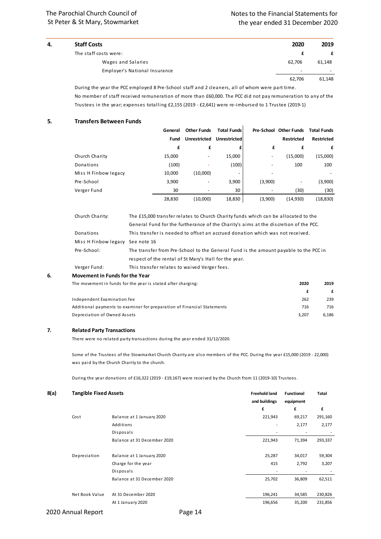| 4. | <b>Staff Costs</b>            | 2020                     | 2019   |
|----|-------------------------------|--------------------------|--------|
|    | The staff costs were:         |                          |        |
|    | Wages and Salaries            | 62.706                   | 61,148 |
|    | Employer's National Insurance | $\overline{\phantom{0}}$ |        |
|    |                               | 62.706                   | 61.148 |
|    |                               |                          |        |

\_\_\_\_\_\_\_\_\_\_\_\_\_\_\_\_\_\_\_\_\_\_\_\_\_\_\_\_\_\_\_\_\_\_\_\_\_\_\_\_\_\_\_\_\_\_\_\_\_\_\_\_\_\_\_\_\_\_\_\_\_\_\_\_\_\_\_\_\_\_\_\_\_\_\_\_\_\_\_\_\_\_

During the year the PCC employed 8 Pre-School staff and 2 cleaners, all of whom were part time. No member of staff received remuneration of more than £60,000. The PCC did not pay remuneration to any of the Trustees in the year; expenses totalling £2,155 (2019 - £2,641) were re-imbursed to 1 Trustee (2019-1)

 $\ddot{\phantom{a}}$ 

#### **5. Transfers Between Funds**

|                      | General | <b>Other Funds</b>       | <b>Total Funds</b>  |         | Pre-School Other Funds | <b>Total Funds</b> |
|----------------------|---------|--------------------------|---------------------|---------|------------------------|--------------------|
|                      | Fund    | <b>Unrestricted</b>      | <b>Unrestricted</b> |         | <b>Restricted</b>      | <b>Restricted</b>  |
|                      | £       | £                        |                     | £       | £                      | £                  |
| Church Charity       | 15,000  | $\overline{\phantom{a}}$ | 15,000              | -       | (15,000)               | (15,000)           |
| Donations            | (100)   |                          | (100)               |         | 100                    | 100                |
| Miss H Finbow legacy | 10,000  | (10,000)                 | ٠                   |         |                        |                    |
| Pre-School           | 3,900   | $\overline{\phantom{a}}$ | 3,900               | (3,900) |                        | (3,900)            |
| Verger Fund          | 30      |                          | 30                  |         | (30)                   | (30)               |
|                      | 28,830  | (10,000)                 | 18,830              | (3,900) | (14,930)               | (18, 830)          |

| 6. | Movement in Funds for the Year   |                                                                                      |
|----|----------------------------------|--------------------------------------------------------------------------------------|
|    | Verger Fund:                     | This transfer relates to waived Verger fees.                                         |
|    |                                  | respect of the rental of St Mary's Hall for the year.                                |
|    | Pre-School:                      | The transfer from Pre-School to the General Fund is the amount payable to the PCC in |
|    | Miss H Finbow legacy See note 16 |                                                                                      |
|    | Donations                        | This transfer is needed to offset an accrued donation which was not received.        |
|    |                                  | General Fund for the furtherance of the Charity's aims at the discretion of the PCC. |
|    | Church Charity:                  | The £15,000 transfer relates to Church Charity funds which can be allocated to the   |
|    |                                  |                                                                                      |

### The movement in funds for the year is stated after charging: **2020 2019 £ £** Independent Examination fee 262 239 Additional payments to examiner for preparation of Financial Statements 716 716 716 716 Depreciation of Owned Assets 3,207 6,186

#### **7. Related Party Transactions**

There were no related party transactions during the year ended 31/12/2020.

Some of the Trustees of the Stowmarket Church Charity are also members of the PCC. During the year £15,000 (2019 - 22,000) was paid by the Church Charity to the church.

During the year donations of £16,322 (2019 - £19,167) were received by the Church from 11 (2019-10) Trustees.

| 8(a)<br><b>Tangible Fixed Assets</b> |                             | <b>Freehold land</b><br>and buildings | <b>Functional</b><br>equipment | Total   |
|--------------------------------------|-----------------------------|---------------------------------------|--------------------------------|---------|
|                                      |                             | £                                     | £                              | £       |
| Cost                                 | Balance at 1 January 2020   | 221,943                               | 69,217                         | 291,160 |
|                                      | Additions                   | ۰                                     | 2,177                          | 2,177   |
|                                      | Disposals                   |                                       | ۰                              |         |
|                                      | Balance at 31 December 2020 | 221,943                               | 71,394                         | 293,337 |
| Depreciation                         | Balance at 1 January 2020   | 25,287                                | 34,017                         | 59,304  |
|                                      | Charge for the year         | 415                                   | 2,792                          | 3,207   |
|                                      | Disposals                   |                                       | ۰                              |         |
|                                      | Balance at 31 December 2020 | 25,702                                | 36,809                         | 62,511  |
| Net Book Value                       | At 31 December 2020         | 196,241                               | 34,585                         | 230,826 |
|                                      | At 1 January 2020           | 196,656                               | 35,200                         | 231,856 |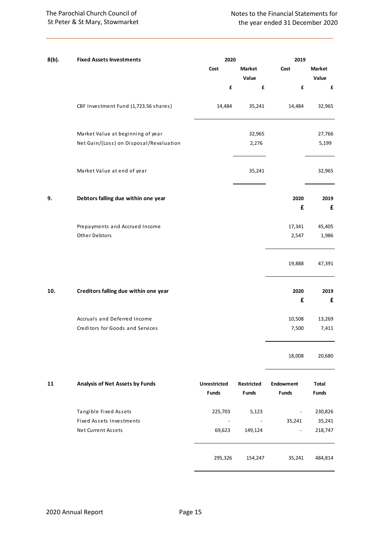| $8(b)$ . | <b>Fixed Assets Investments</b>         | 2020                                |                            | 2019                             |                              |
|----------|-----------------------------------------|-------------------------------------|----------------------------|----------------------------------|------------------------------|
|          |                                         | Cost                                | <b>Market</b>              | Cost                             | <b>Market</b>                |
|          |                                         |                                     | Value                      |                                  | Value                        |
|          |                                         | £                                   | £                          | £                                | £                            |
|          | CBF Investment Fund (1,723.56 shares)   | 14,484                              | 35,241                     | 14,484                           | 32,965                       |
|          | Market Value at beginning of year       |                                     | 32,965                     |                                  | 27,766                       |
|          | Net Gain/(Loss) on Disposal/Revaluation |                                     | 2,276                      |                                  | 5,199                        |
|          | Market Value at end of year             |                                     | 35,241                     |                                  | 32,965                       |
| 9.       | Debtors falling due within one year     |                                     |                            | 2020                             | 2019                         |
|          |                                         |                                     |                            | £                                | £                            |
|          | Prepayments and Accrued Income          |                                     |                            | 17,341                           | 45,405                       |
|          | Other Debtors                           |                                     |                            | 2,547                            | 1,986                        |
|          |                                         |                                     |                            | 19,888                           | 47,391                       |
| 10.      | Creditors falling due within one year   |                                     |                            | 2020                             | 2019                         |
|          |                                         |                                     |                            | £                                | £                            |
|          | Accruals and Deferred Income            |                                     |                            | 10,508                           | 13,269                       |
|          | Creditors for Goods and Services        |                                     |                            | 7,500                            | 7,411                        |
|          |                                         |                                     |                            | 18,008                           | 20,680                       |
| 11       | Analysis of Net Assets by Funds         | <b>Unrestricted</b><br><b>Funds</b> | Restricted<br><b>Funds</b> | <b>Endowment</b><br><b>Funds</b> | <b>Total</b><br><b>Funds</b> |
|          | Tangible Fixed Assets                   | 225,703                             | 5,123                      |                                  | 230,826                      |
|          | <b>Fixed Assets Investments</b>         |                                     | $\overline{\phantom{a}}$   | 35,241                           | 35,241                       |
|          | Net Current Assets                      | 69,623                              | 149,124                    | $\overline{\phantom{a}}$         | 218,747                      |
|          |                                         | 295,326                             | 154,247                    | 35,241                           | 484,814                      |

\_\_\_\_\_\_\_\_\_\_\_\_\_\_\_\_\_\_\_\_\_\_\_\_\_\_\_\_\_\_\_\_\_\_\_\_\_\_\_\_\_\_\_\_\_\_\_\_\_\_\_\_\_\_\_\_\_\_\_\_\_\_\_\_\_\_\_\_\_\_\_\_\_\_\_\_\_\_\_\_\_\_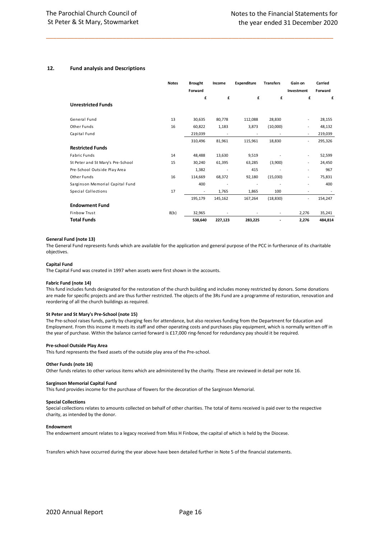#### **12. Fund analysis and Descriptions**

|                                   | <b>Notes</b> | <b>Brought</b><br>Forward | Income                   | Expenditure              | <b>Transfers</b>         | Gain on<br>Investment    | Carried<br>Forward |
|-----------------------------------|--------------|---------------------------|--------------------------|--------------------------|--------------------------|--------------------------|--------------------|
| <b>Unrestricted Funds</b>         |              | £                         | £                        | £                        | £                        | £                        | £                  |
| General Fund                      | 13           | 30,635                    | 80,778                   | 112,088                  | 28,830                   |                          | 28,155             |
| Other Funds                       | 16           | 60,822                    | 1,183                    | 3,873                    | (10,000)                 | $\overline{a}$           | 48,132             |
| Capital Fund                      |              | 219,039                   | $\overline{a}$           |                          |                          | $\overline{\phantom{a}}$ | 219,039            |
|                                   |              | 310,496                   | 81,961                   | 115,961                  | 18,830                   | $\overline{a}$           | 295,326            |
| <b>Restricted Funds</b>           |              |                           |                          |                          |                          |                          |                    |
| <b>Fabric Funds</b>               | 14           | 48,488                    | 13,630                   | 9,519                    |                          | $\overline{a}$           | 52,599             |
| St Peter and St Mary's Pre-School | 15           | 30,240                    | 61,395                   | 63,285                   | (3,900)                  | $\overline{a}$           | 24,450             |
| Pre-School Outside Play Area      |              | 1,382                     | $\overline{a}$           | 415                      |                          | $\overline{a}$           | 967                |
| Other Funds                       | 16           | 114,669                   | 68,372                   | 92,180                   | (15,030)                 | $\overline{a}$           | 75,831             |
| Sarginson Memorial Capital Fund   |              | 400                       | $\overline{\phantom{a}}$ | $\overline{\phantom{a}}$ | $\overline{\phantom{a}}$ | $\overline{a}$           | 400                |
| Special Collections               | 17           | $\overline{\phantom{a}}$  | 1,765                    | 1,865                    | 100                      | $\overline{a}$           |                    |
|                                   |              | 195,179                   | 145,162                  | 167,264                  | (18, 830)                | $\overline{a}$           | 154,247            |
| <b>Endowment Fund</b>             |              |                           |                          |                          |                          |                          |                    |
| <b>Finbow Trust</b>               | 8(b)         | 32,965                    |                          |                          | $\overline{\phantom{a}}$ | 2,276                    | 35,241             |
| <b>Total Funds</b>                |              | 538,640                   | 227,123                  | 283,225                  |                          | 2,276                    | 484,814            |

\_\_\_\_\_\_\_\_\_\_\_\_\_\_\_\_\_\_\_\_\_\_\_\_\_\_\_\_\_\_\_\_\_\_\_\_\_\_\_\_\_\_\_\_\_\_\_\_\_\_\_\_\_\_\_\_\_\_\_\_\_\_\_\_\_\_\_\_\_\_\_\_\_\_\_\_\_\_\_\_\_\_

#### **General Fund (note 13)**

The General Fund represents funds which are available for the application and general purpose of the PCC in furtherance of its charitable objectives.

#### **Capital Fund**

The Capital Fund was created in 1997 when assets were first shown in the accounts.

#### **Fabric Fund (note 14)**

This fund includes funds designated for the restoration of the church building and includes money restricted by donors. Some donations are made for specific projects and are thus further restricted. The objects of the 3Rs Fund are a programme of restoration, renovation and reordering of all the church buildings as required.

#### **St Peter and St Mary's Pre-School (note 15)**

The Pre-school raises funds, partly by charging fees for attendance, but also receives funding from the Department for Education and Employment. From this income it meets its staff and other operating costs and purchases play equipment, which is normally written off in the year of purchase. Within the balance carried forward is £17,000 ring-fenced for redundancy pay should it be required.

#### **Pre-school Outside Play Area**

This fund represents the fixed assets of the outside play area of the Pre-school.

#### **Other Funds (note 16)**

Other funds relates to other various items which are administered by the charity. These are reviewed in detail per note 16.

#### **Sarginson Memorial Capital Fund**

This fund provides income for the purchase of flowers for the decoration of the Sarginson Memorial.

#### **Special Collections**

Special collections relates to amounts collected on behalf of other charities. The total of items received is paid over to the respective charity, as intended by the donor.

#### **Endowment**

The endowment amount relates to a legacy received from Miss H Finbow, the capital of which is held by the Diocese.

Transfers which have occurred during the year above have been detailed further in Note 5 of the financial statements.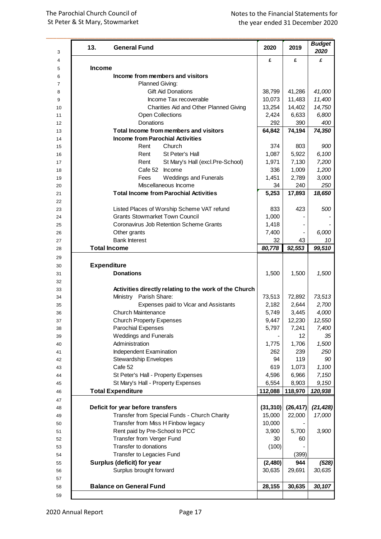| 13.           | <b>General Fund</b>                                    | 2020      | 2019      | <b>Budget</b><br>2020 |  |
|---------------|--------------------------------------------------------|-----------|-----------|-----------------------|--|
| <b>Income</b> |                                                        | £         | £         | £                     |  |
|               | Income from members and visitors                       |           |           |                       |  |
|               | Planned Giving:                                        |           |           |                       |  |
|               | <b>Gift Aid Donations</b>                              | 38,799    | 41,286    | 41,000                |  |
|               | Income Tax recoverable                                 | 10,073    | 11,483    | 11,400                |  |
|               | Charities Aid and Other Planned Giving                 | 13,254    | 14,402    | 14,750                |  |
|               | <b>Open Collections</b>                                | 2,424     | 6,633     | 6,800                 |  |
|               | <b>Donations</b>                                       | 292       | 390       | 400                   |  |
|               | Total Income from members and visitors                 | 64,842    | 74,194    | 74,350                |  |
|               | <b>Income from Parochial Activities</b>                |           |           |                       |  |
|               | Church<br>Rent                                         | 374       | 803       | 900                   |  |
|               | St Peter's Hall<br>Rent                                | 1,087     | 5,922     | 6,100                 |  |
|               | Rent<br>St Mary's Hall (excl.Pre-School)               | 1,971     | 7,130     | 7,200                 |  |
|               | Cafe 52 Income                                         | 336       | 1,009     | 1,200                 |  |
|               | <b>Weddings and Funerals</b><br>Fees                   | 1,451     | 2,789     | 3,000                 |  |
|               | Miscellaneous Income                                   | 34        | 240       | 250                   |  |
|               | <b>Total Income from Parochial Activities</b>          | 5,253     | 17,893    | 18,650                |  |
|               |                                                        |           |           |                       |  |
|               | Listed Places of Worship Scheme VAT refund             | 833       | 423       | 500                   |  |
|               | <b>Grants Stowmarket Town Council</b>                  | 1,000     |           |                       |  |
|               | Coronavirus Job Retention Scheme Grants                | 1,418     |           |                       |  |
|               | Other grants                                           | 7,400     |           | 6,000                 |  |
|               | <b>Bank Interest</b>                                   | 32        | 43        | 10                    |  |
|               | <b>Total Income</b>                                    | 80,778    | 92,553    | 99,510                |  |
|               |                                                        |           |           |                       |  |
|               | <b>Expenditure</b>                                     |           |           |                       |  |
|               | <b>Donations</b>                                       | 1,500     | 1,500     | 1,500                 |  |
|               | Activities directly relating to the work of the Church |           |           |                       |  |
|               | Ministry Parish Share:                                 | 73,513    | 72,892    | 73,513                |  |
|               | Expenses paid to Vicar and Assistants                  | 2,182     | 2,644     | 2,700                 |  |
|               | <b>Church Maintenance</b>                              | 5,749     | 3,445     | 4,000                 |  |
|               | <b>Church Property Expenses</b>                        | 9,447     | 12,230    | 12,550                |  |
|               | <b>Parochial Expenses</b>                              | 5,797     | 7,241     | 7,400                 |  |
|               | <b>Weddings and Funerals</b>                           |           | 12        | 35                    |  |
|               | Administration                                         | 1,775     | 1,706     | 1,500                 |  |
|               | Independent Examination                                | 262       | 239       | 250                   |  |
|               | <b>Stewardship Envelopes</b>                           | 94        | 119       | 90                    |  |
|               | Cafe 52                                                | 619       | 1,073     | 1,100                 |  |
|               | St Peter's Hall - Property Expenses                    | 4,596     | 6,966     | 7,150                 |  |
|               | St Mary's Hall - Property Expenses                     | 6,554     | 8,903     | 9,150                 |  |
|               | <b>Total Expenditure</b>                               | 112,088   | 118,970   | 120,938               |  |
|               |                                                        |           |           |                       |  |
|               | Deficit for year before transfers                      | (31, 310) | (26, 417) | (21, 428)             |  |
|               | Transfer from Special Funds - Church Charity           | 15,000    | 22,000    | 17,000                |  |
|               | Transfer from Miss H Finbow legacy                     | 10,000    |           |                       |  |
|               | Rent paid by Pre-School to PCC                         | 3,900     | 5,700     | 3,900                 |  |
|               | Transfer from Verger Fund                              | 30        | 60        |                       |  |
|               | Transfer to donations                                  | (100)     |           |                       |  |
|               | Transfer to Legacies Fund                              |           | (399)     |                       |  |
|               | Surplus (deficit) for year                             | (2,480)   | 944       | (528)                 |  |
|               | Surplus brought forward                                | 30,635    | 29,691    | 30,635                |  |
|               | <b>Balance on General Fund</b>                         | 28,155    | 30,635    | 30,107                |  |
|               |                                                        |           |           |                       |  |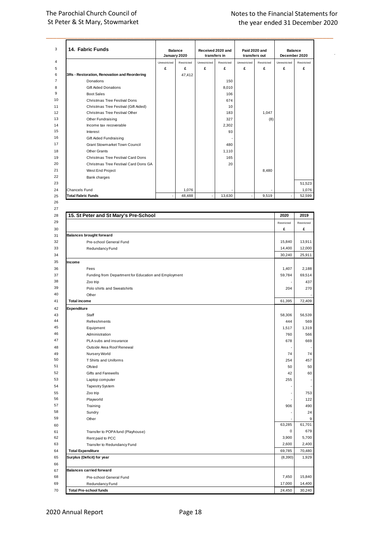|                           | 14. Fabric Funds                                     | January 2020 | <b>Balance</b> |                | Received 2020 and<br>transfers in | Paid 2020 and<br>transfers out |            | <b>Balance</b> | December 2020 |
|---------------------------|------------------------------------------------------|--------------|----------------|----------------|-----------------------------------|--------------------------------|------------|----------------|---------------|
|                           |                                                      | Unrestricted | Restricted     | Unrestricted   | Restricted                        | Unrestricted                   | Restricted | Unrestricted   | Restricted    |
|                           |                                                      | £            | £              | £              | £                                 | £                              | £          | £              | £             |
|                           | 3Rs - Restoration, Renovation and Reordering         |              | 47,412         |                |                                   |                                |            |                |               |
|                           | Donations                                            |              |                |                | 150                               |                                |            |                |               |
|                           | <b>Gift Aided Donations</b>                          |              |                |                | 8,010                             |                                |            |                |               |
|                           | <b>Boot Sales</b>                                    |              |                |                | 106                               |                                |            |                |               |
|                           | Christmas Tree Festival Dons                         |              |                |                | 674                               |                                |            |                |               |
|                           | Christmas Tree Festival (Gift Aided)                 |              |                |                | 10                                |                                |            |                |               |
|                           | Christmas Tree Festival Other                        |              |                |                | 183                               |                                | 1,047      |                |               |
|                           | Other Fundraising                                    |              |                |                | 327                               |                                | (8)        |                |               |
|                           | Income tax recoverable                               |              |                |                | 2,302                             |                                |            |                |               |
|                           | Interest<br>Gift Aided Fundraising                   |              |                |                | 93                                |                                |            |                |               |
|                           | <b>Grant Stowmarket Town Council</b>                 |              |                |                | 480                               |                                |            |                |               |
|                           | <b>Other Grants</b>                                  |              |                |                | 1,110                             |                                |            |                |               |
|                           | Christmas Tree Festival Card Dons                    |              |                |                | 165                               |                                |            |                |               |
|                           | Christmas Tree Festival Card Dons GA                 |              |                |                | 20                                |                                |            |                |               |
|                           | West End Project                                     |              |                |                |                                   |                                | 8,480      |                |               |
|                           | Bank charges                                         |              |                |                |                                   |                                |            |                |               |
|                           |                                                      |              |                |                |                                   |                                |            |                | 51,523        |
| Chancels Fund             |                                                      |              | 1,076          |                |                                   |                                |            |                | 1,076         |
| <b>Total Fabric Funds</b> |                                                      |              | 48,488         | $\blacksquare$ | 13,630                            |                                | 9,519      |                | 52,599        |
|                           |                                                      |              |                |                |                                   |                                |            |                |               |
|                           |                                                      |              |                |                |                                   |                                |            |                |               |
|                           | 15. St Peter and St Mary's Pre-School                |              |                |                |                                   |                                |            | 2020           | 2019          |
|                           |                                                      |              |                |                |                                   |                                |            | Restricted     | Restricted    |
|                           |                                                      |              |                |                |                                   |                                |            | £              | £             |
|                           | <b>Balances brought forward</b>                      |              |                |                |                                   |                                |            |                |               |
|                           | Pre-school General Fund                              |              |                |                |                                   |                                |            | 15,840         | 13,911        |
|                           | Redundancy Fund                                      |              |                |                |                                   |                                |            | 14,400         | 12,000        |
|                           |                                                      |              |                |                |                                   |                                |            | 30,240         | 25,911        |
| Income                    |                                                      |              |                |                |                                   |                                |            |                |               |
|                           | Fees                                                 |              |                |                |                                   |                                |            | 1,407          | 2,188         |
|                           | Funding from Department for Education and Employment |              |                |                |                                   |                                |            | 59,784         | 69,514        |
|                           | Zoo trip                                             |              |                |                |                                   |                                |            |                | 437           |
|                           | Polo shirts and Sweatshirts                          |              |                |                |                                   |                                |            | 204            | 270           |
|                           | Other                                                |              |                |                |                                   |                                |            |                |               |
| <b>Total income</b>       |                                                      |              |                |                |                                   |                                |            | 61,395         | 72,409        |
| Expenditure               |                                                      |              |                |                |                                   |                                |            |                |               |
|                           |                                                      |              |                |                |                                   |                                |            |                |               |
|                           | Staff                                                |              |                |                |                                   |                                |            | 58,306         | 56,539        |
|                           | Refreshments                                         |              |                |                |                                   |                                |            | 444            | 569           |
|                           | Equipment                                            |              |                |                |                                   |                                |            | 1,517          | 1,319         |
|                           | Administration                                       |              |                |                |                                   |                                |            | 760            | 566           |
|                           | PLA subs and insurance                               |              |                |                |                                   |                                |            | 678            | 669           |
|                           | Outside Area Roof Renewal                            |              |                |                |                                   |                                |            |                |               |
|                           | Nursery World                                        |              |                |                |                                   |                                |            | 74             | 74            |
|                           | T Shirts and Uniforms                                |              |                |                |                                   |                                |            | 254            | 457           |
|                           | Ofsted                                               |              |                |                |                                   |                                |            | 50             | 50            |
|                           | Gifts and Farewells                                  |              |                |                |                                   |                                |            | 42             | 60            |
|                           | Laptop computer                                      |              |                |                |                                   |                                |            | 255            |               |
|                           | <b>Tapestry System</b>                               |              |                |                |                                   |                                |            |                |               |
|                           | Zoo trip                                             |              |                |                |                                   |                                |            |                | 753           |
|                           | Playworld                                            |              |                |                |                                   |                                |            |                | 122           |
|                           | Training                                             |              |                |                |                                   |                                |            | 906            | 490           |
|                           | Sundry                                               |              |                |                |                                   |                                |            |                | 24            |
|                           | Other                                                |              |                |                |                                   |                                |            |                | 9             |
|                           |                                                      |              |                |                |                                   |                                |            | 63,285         | 61,701        |
|                           | Transfer to POPA fund (Playhouse)                    |              |                |                |                                   |                                |            | $\pmb{0}$      | 679           |
|                           | Rent paid to PCC                                     |              |                |                |                                   |                                |            | 3,900          | 5,700         |
|                           | Transfer to Redundancy Fund                          |              |                |                |                                   |                                |            | 2,600          | 2,400         |
| <b>Total Expenditure</b>  |                                                      |              |                |                |                                   |                                |            | 69,785         | 70,480        |
|                           | Surplus (Deficit) for year                           |              |                |                |                                   |                                |            | (8, 390)       | 1,929         |
|                           |                                                      |              |                |                |                                   |                                |            |                |               |
|                           | <b>Balances carried forward</b>                      |              |                |                |                                   |                                |            |                |               |

**10tal Expenditure**<br> **68**<br> **68**<br> **68**<br> **68**<br> **68**<br> **68**<br> **68**<br> **68**<br> **68**<br> **68**<br> **68**<br> **68**<br> **68**<br> **68**<br> **68**<br> **68**<br> **68**<br> **68**<br> **1,929**<br> **68**<br> **15,840**<br> **15,840**<br> **15,840**<br> **15,840**<br> **15,840**<br> **16,840**<br> **16,840**<br> **16,840** Surplus (Deficit) for year (8,390) 1,929<br>
66<br>
67 Balances carried forward Pre-school General Fund<br>
88 Pre-school General Fund<br>
70 Redundancy Fund<br>
70 Total Pre-school funds<br>
70 Total Pre-school funds **Examples 24,450**<br> **Examples 24,450**<br> **Examples 24,450**<br> **Examples 24,450**<br> **Examples 24,450**<br> **Examples 24,450**<br> **Examples 24,450**<br> **Examples 24,450**<br> **Examples 24,450**<br> **Examples 24,450**<br> **Examples 24,450**<br> **Examples 24,**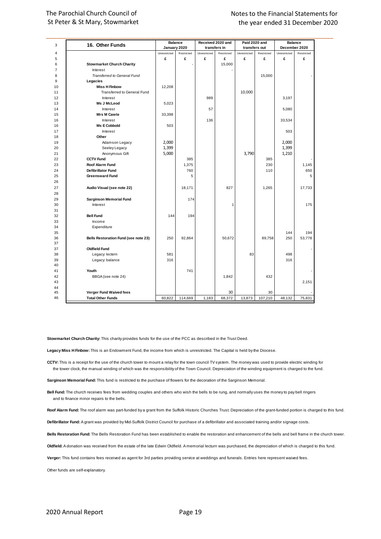| 3              | 16. Other Funds                              |                              | <b>Balance</b> | Received 2020 and |              | Paid 2020 and     |                 | <b>Balance</b><br>December 2020 |            |
|----------------|----------------------------------------------|------------------------------|----------------|-------------------|--------------|-------------------|-----------------|---------------------------------|------------|
| $\overline{4}$ |                                              | January 2020<br>Unrestricted | Restricted     | transfers in      | Restricted   | transfers out     |                 | Unrestricted                    | Restricted |
| 5              |                                              | £                            | £              | Unrestricted<br>£ | £            | Unrestricted<br>£ | Restricted<br>£ | £                               | £          |
| 6              |                                              |                              |                |                   | 15,000       |                   |                 |                                 |            |
| $\overline{7}$ | <b>Stowmarket Church Charity</b><br>Interest |                              |                |                   |              |                   |                 |                                 |            |
| 8              | Transferred to General Fund                  |                              |                |                   |              |                   | 15,000          |                                 |            |
| 9              | Legacies                                     |                              |                |                   |              |                   |                 |                                 |            |
| 10             | <b>Miss H Finbow</b>                         | 12,208                       |                |                   |              |                   |                 |                                 |            |
| 11             | Transferred to General Fund                  |                              |                |                   |              | 10,000            |                 |                                 |            |
| 12             | Interest                                     |                              |                | 989               |              |                   |                 | 3,197                           |            |
| 13             | Ms J McLeod                                  | 5,023                        |                |                   |              |                   |                 |                                 |            |
| 14             | Interest                                     |                              |                | 57                |              |                   |                 | 5,080                           |            |
| 15             | <b>Mrs M Cawte</b>                           | 33,398                       |                |                   |              |                   |                 |                                 |            |
| 16             | Interest                                     |                              |                | 136               |              |                   |                 | 33,534                          |            |
| 16             | <b>Ms E Cobbold</b>                          | 503                          |                |                   |              |                   |                 |                                 |            |
| 17             | Interest                                     |                              |                |                   |              |                   |                 | 503                             |            |
| 18             | Other                                        |                              |                |                   |              |                   |                 |                                 |            |
|                |                                              | 2,000                        |                |                   |              |                   |                 | 2,000                           |            |
| 19<br>20       | Adamson Legacy                               |                              |                |                   |              |                   |                 |                                 |            |
| 21             | Seeley Legacy                                | 1,399<br>5,000               |                |                   |              | 3,790             |                 | 1,399<br>1,210                  |            |
| 22             | Anonymous Gift<br><b>CCTV Fund</b>           |                              | 385            |                   |              |                   | 385             |                                 |            |
|                |                                              |                              |                |                   |              |                   |                 |                                 |            |
| 23<br>24       | <b>Roof Alarm Fund</b>                       |                              | 1,375          |                   |              |                   | 230             |                                 | 1,145      |
|                | <b>Defibrillator Fund</b>                    |                              | 760            |                   |              |                   | 110             |                                 | 650        |
| 25<br>26       | <b>Greensward Fund</b>                       |                              | 5              |                   |              |                   |                 |                                 | 5          |
|                |                                              |                              |                |                   |              |                   |                 |                                 |            |
| 27             | Audio Visual (see note 22)                   |                              | 18,171         |                   | 827          |                   | 1,265           |                                 | 17,733     |
| 28             |                                              |                              |                |                   |              |                   |                 |                                 |            |
| 29             | <b>Sarginson Memorial Fund</b>               |                              | 174            |                   |              |                   |                 |                                 |            |
| 30             | Interest                                     |                              |                |                   | $\mathbf{1}$ |                   |                 |                                 | 175        |
| 31             |                                              |                              |                |                   |              |                   |                 |                                 |            |
| 32             | <b>Bell Fund</b>                             | 144                          | 194            |                   |              |                   |                 |                                 |            |
| 33             | Income                                       |                              |                |                   |              |                   |                 |                                 |            |
| 34             | Expenditure                                  |                              |                |                   |              |                   |                 |                                 |            |
| 35             |                                              |                              |                |                   |              |                   |                 | 144                             | 194        |
| 36             | Bells Restoration Fund (see note 23)         | 250                          | 92,864         |                   | 50,672       |                   | 89,758          | 250                             | 53,778     |
| 37             |                                              |                              |                |                   |              |                   |                 |                                 |            |
| 37             | <b>Oldfield Fund</b>                         |                              |                |                   |              |                   |                 |                                 |            |
| 38<br>39       | Legacy: lectern                              | 581                          |                |                   |              | 83                |                 | 498                             |            |
|                | Legacy: balance                              | 316                          |                |                   |              |                   |                 | 316                             |            |
| 40             |                                              |                              | 741            |                   |              |                   |                 |                                 |            |
| 41<br>42       | Youth                                        |                              |                |                   |              |                   | 432             |                                 |            |
|                | BBGA (see note 24)                           |                              |                |                   | 1,842        |                   |                 |                                 |            |
| 43             |                                              |                              |                |                   |              |                   |                 |                                 | 2,151      |
| 44<br>45       | Verger Fund Waived fees                      |                              |                |                   | 30           |                   | 30              |                                 |            |
| 46             |                                              |                              |                |                   |              |                   |                 |                                 |            |
|                | <b>Total Other Funds</b>                     | 60,822                       | 114,669        | 1,183             | 68,372       | 13,873            | 107,210         | 48,132                          | 75,831     |

**Stowmarket Church Charity:** This charity provides funds for the use of the PCC as described in the Trust Deed.

Legacy Miss H Finbow: This is an Endowment Fund, the income from which is unrestricted. The Capital is held by the Diocese.

**CCTV:** This is a receipt for the use of the church tower to mount a relay for the town council TV system. The money was used to provide electric winding for the tower clock, the manual winding of which was the responsibility of the Town Council. Depreciation of the winding equipment is charged to the fund.

**Sarginson Memorial Fund:** This fund is restricted to the purchase of flowers for the decoration of the Sarginson Memorial.

**Bell Fund:** The church receives fees from wedding couples and others who wish the bells to be rung, and normally uses the money to pay bell ringers and to finance minor repairs to the bells.

**Roof Alarm Fund:** The roof alarm was part-funded by a grant from the Suffolk Historic Churches Trust. Depreciation of the grant-funded portion is charged to this fund.

**Defibrillator Fund:** A grant was provided by Mid-Suffolk District Council for purchase of a defibrillator and associated training and/or signage costs.

**Bells Restoration Fund:** The Bells Restoration Fund has been established to enable the restoration and enhancement of the bells and bell frame in the church tower.

**Oldfield:** A donation was received from the estate of the late Edwin Oldfield. A memorial lecturn was purchased, the depreciation of which is charged to this fund.

**Verger:** This fund contains fees received as agent for 3rd parties providing service at weddings and funerals. Entries here represent waived fees.

Other funds are self-explanatory.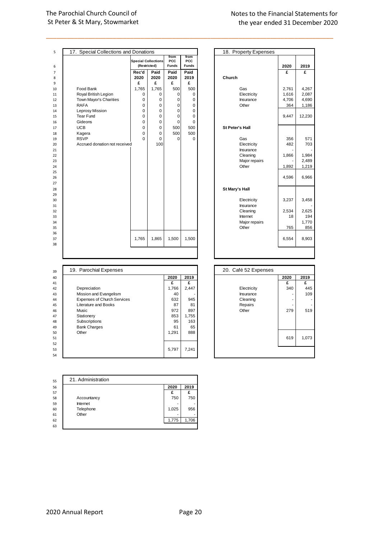## Notes to the Financial Statements for the year ended 31 December 2017 the year ended 31 December 2017 the year ended 31 December 2020

| 5              | 17. Special Collections and Donations |             |                            |                    |              | 18. Property Expenses  |             |              |
|----------------|---------------------------------------|-------------|----------------------------|--------------------|--------------|------------------------|-------------|--------------|
|                |                                       |             | <b>Special Collections</b> | from<br><b>PCC</b> | from<br>PCC  |                        |             |              |
| 6              |                                       |             | (Restricted)               | <b>Funds</b>       | <b>Funds</b> |                        | 2020        | 2019         |
| $\overline{7}$ |                                       | Rec'd       | Paid                       | Paid               | Paid         |                        | £           | £            |
| 8              |                                       | 2020        | 2020                       | 2020               | 2019         | Church                 |             |              |
| 9              |                                       | £           | £                          | £                  | £            |                        |             |              |
| 10             | Food Bank                             | 1,765       | 1,765                      | 500                | 500          | Gas                    | 2,761       | 4,267        |
| 11             | Royal British Legion                  | $\mathbf 0$ | $\Omega$                   | $\mathbf 0$        | 0            | Electricity            | 1,616       | 2,087        |
| 12             | Town Mayor's Charities                | 0           | 0                          | 0                  | 0            | Insurance              | 4,706       | 4,690        |
| 13             | <b>RAFA</b>                           | 0           | 0                          | 0                  | 0            | Other                  | 364         | 1,186        |
| 14             | Leprosy Mission                       | 0           | 0                          | 0                  | 0            |                        |             |              |
| 15             | Tear Fund                             | 0           | 0                          | $\mathbf 0$        | 0            |                        | 9,447       | 12,230       |
| 16             | Gideons                               | 0           | 0                          | $\mathbf 0$        | 0            |                        |             |              |
| 17             | <b>UCB</b>                            | 0           | 0                          | 500                | 500          | <b>St Peter's Hall</b> |             |              |
| 18             | Kagera                                | $\mathbf 0$ | 0                          | 500                | 500          |                        |             |              |
| 19             | <b>RSVP</b>                           | $\Omega$    | $\Omega$                   | $\Omega$           | 0            | Gas                    | 356         | 571          |
| 20             | Accrued donation not received         |             | 100                        |                    |              | Electricity            | 482         | 703          |
| 21             |                                       |             |                            |                    |              | Insurance              |             |              |
| 22             |                                       |             |                            |                    |              | Cleaning               | 1,866       | 1,984        |
| 23             |                                       |             |                            |                    |              | Major repairs          |             | 2,489        |
| 24             |                                       |             |                            |                    |              | Other                  | 1,892       | 1,219        |
| 25             |                                       |             |                            |                    |              |                        |             |              |
| 26             |                                       |             |                            |                    |              |                        | 4,596       | 6,966        |
| 27             |                                       |             |                            |                    |              |                        |             |              |
| 28             |                                       |             |                            |                    |              | St Mary's Hall         |             |              |
| 29             |                                       |             |                            |                    |              |                        |             |              |
| 30             |                                       |             |                            |                    |              | Electricity            | 3,237       | 3,458        |
| 31             |                                       |             |                            |                    |              | Insurance              |             |              |
| 32<br>33       |                                       |             |                            |                    |              | Cleaning<br>Internet   | 2,534<br>18 | 2,625<br>194 |
| 34             |                                       |             |                            |                    |              |                        |             | 1,770        |
|                |                                       |             |                            |                    |              | Major repairs<br>Other | 765         | 856          |
| 35<br>36       |                                       |             |                            |                    |              |                        |             |              |
| 37             |                                       | 1,765       | 1,865                      | 1,500              | 1,500        |                        | 6,554       | 8,903        |
| 38             |                                       |             |                            |                    |              |                        |             |              |
|                |                                       |             |                            |                    |              |                        |             |              |
|                |                                       |             |                            |                    |              |                        |             |              |

\_\_\_\_\_\_\_\_\_\_\_\_\_\_\_\_\_\_\_\_\_\_\_\_\_\_\_\_\_\_\_\_\_\_\_\_\_\_\_\_\_\_\_\_\_\_\_\_\_\_\_\_\_\_\_\_\_\_\_\_\_\_\_\_\_\_\_\_\_\_\_\_\_\_\_\_\_\_\_\_\_\_

| 39 | 19. Parochial Expenses             |       |       | 20. Café 52 Expenses |      |       |
|----|------------------------------------|-------|-------|----------------------|------|-------|
| 40 |                                    | 2020  | 2019  |                      | 2020 | 2019  |
| 41 |                                    | £     | £     |                      | £    | £     |
| 42 | Depreciation                       | 1,766 | 2,447 | Electricity          | 340  | 445   |
| 43 | Mission and Evangelism             | 40    |       | Insurance            |      | 109   |
| 44 | <b>Expenses of Church Services</b> | 632   | 945   | Cleaning             |      | ۰     |
| 45 | Literature and Books               | 87    | 81    | Repairs              |      |       |
| 46 | Music                              | 972   | 897   | Other                | 279  | 519   |
| 47 | Stationery                         | 853   | 1,755 |                      |      |       |
| 48 | Subscriptions                      | 95    | 163   |                      |      |       |
| 49 | <b>Bank Charges</b>                | 61    | 65    |                      |      |       |
| 50 | Other                              | 1,291 | 888   |                      |      |       |
| 51 |                                    |       |       |                      | 619  | 1,073 |
| 52 |                                    |       |       |                      |      |       |
| 53 |                                    | 5,797 | 7.241 |                      |      |       |
| 54 |                                    |       |       |                      |      |       |

|                                    | 18. Property Expenses    |       |        |
|------------------------------------|--------------------------|-------|--------|
| from<br><b>PCC</b><br><b>Funds</b> |                          | 2020  | 2019   |
| Paid<br>2019                       | Church                   | £     | £      |
| £                                  |                          |       |        |
| 500                                | Gas                      | 2,761 | 4,267  |
| 0                                  | Electricity              | 1,616 | 2,087  |
| $\mathbf 0$                        | Insurance                | 4,706 | 4,690  |
| 0                                  | Other                    | 364   | 1,186  |
| 0                                  |                          |       |        |
| $\mathbf 0$                        |                          | 9,447 | 12,230 |
| $\mathbf 0$                        |                          |       |        |
| 500                                | <b>St Peter's Hall</b>   |       |        |
| 500                                |                          |       |        |
| 0                                  | Gas                      | 356   | 571    |
|                                    | Electricity<br>Insurance | 482   | 703    |
|                                    | Cleaning                 | 1,866 | 1,984  |
|                                    | Major repairs            |       | 2,489  |
|                                    | Other                    | 1,892 | 1,219  |
|                                    |                          |       |        |
|                                    |                          | 4,596 | 6,966  |
|                                    | St Mary's Hall           |       |        |
|                                    | Electricity<br>Insurance | 3,237 | 3,458  |
|                                    | Cleaning                 | 2,534 | 2,625  |
|                                    | Internet                 | 18    | 194    |
|                                    | Major repairs            |       | 1,770  |
|                                    | Other                    | 765   | 856    |
| 1,500                              |                          | 6,554 | 8,903  |
|                                    |                          |       |        |

| 20. Café 52 Expenses |      |       |
|----------------------|------|-------|
|                      | 2020 | 2019  |
|                      | £    | £     |
| Electricity          | 340  | 445   |
| Insurance            |      | 109   |
| Cleaning             |      |       |
| Repairs              |      |       |
| Other                | 279  | 519   |
|                      |      |       |
|                      | 619  | 1,073 |
|                      |      |       |

| 55 | 21. Administration |       |       |
|----|--------------------|-------|-------|
| 56 |                    | 2020  | 2019  |
| 57 |                    | £     | £     |
| 58 | Accountancy        | 750   | 750   |
| 59 | Internet           | ۰     |       |
| 60 | Telephone          | 1,025 | 956   |
| 61 | Other              |       |       |
| 62 |                    | 1.775 | 1,706 |
| 63 |                    |       |       |

2020 Annual Report Page 20